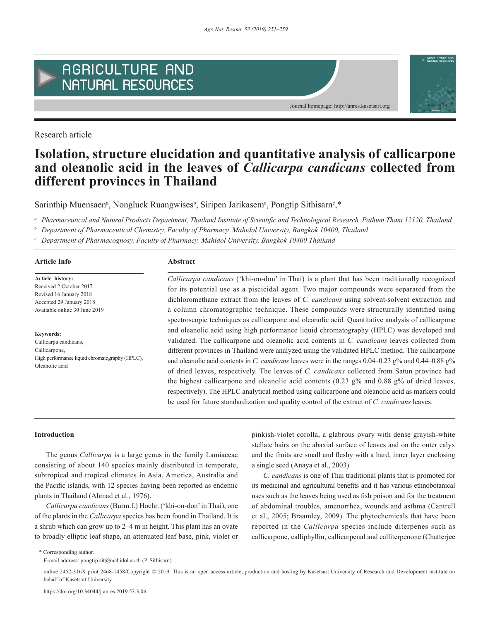

Research article

# **Isolation, structure elucidation and quantitative analysis of callicarpone and oleanolic acid in the leaves of** *Callicarpa candicans* **collected from different provinces in Thailand**

Sarinthip Muensaen<sup>a</sup>, Nongluck Ruangwises<sup>b</sup>, Siripen Jarikasem<sup>a</sup>, Pongtip Sithisarn<sup>c</sup>,\*

*<sup>a</sup> Pharmaceutical and Natural Products Department, Thailand Institute of Scientific and Technological Research, Pathum Thani 12120, Thailand*

*<sup>b</sup> Department of Pharmaceutical Chemistry, Faculty of Pharmacy, Mahidol University, Bangkok 10400, Thailand*

*<sup>c</sup> Department of Pharmacognosy, Faculty of Pharmacy, Mahidol University, Bangkok 10400 Thailand*

## **Article Info Abstract**

**Article history:** Received 2 October 2017 Revised 16 January 2018 Accepted 29 January 2018 Available online 30 June 2019

**Keywords:** Callicarpa candicans, Callicarpone, High performance liquid chromatography (HPLC), Oleanolic acid

*Callicarpa candicans* ('khi-on-don' in Thai) is a plant that has been traditionally recognized for its potential use as a piscicidal agent. Two major compounds were separated from the dichloromethane extract from the leaves of *C. candicans* using solvent-solvent extraction and a column chromatographic technique. These compounds were structurally identified using spectroscopic techniques as callicarpone and oleanolic acid. Quantitative analysis of callicarpone and oleanolic acid using high performance liquid chromatography (HPLC) was developed and validated. The callicarpone and oleanolic acid contents in *C. candicans* leaves collected from different provinces in Thailand were analyzed using the validated HPLC method. The callicarpone and oleanolic acid contents in *C. candicans* leaves were in the ranges 0.04–0.23 g% and 0.44–0.88 g% of dried leaves, respectively. The leaves of *C. candicans* collected from Satun province had the highest callicarpone and oleanolic acid contents (0.23  $g\%$  and 0.88  $g\%$  of dried leaves, respectively). The HPLC analytical method using callicarpone and oleanolic acid as markers could be used for future standardization and quality control of the extract of *C. candicans* leaves.

Journal homepage: http://anres.kasetsart.org

**AGRICULTURE A** 

### **Introduction**

The genus *Callicarpa* is a large genus in the family Lamiaceae consisting of about 140 species mainly distributed in temperate, subtropical and tropical climates in Asia, America, Australia and the Pacific islands, with 12 species having been reported as endemic plants in Thailand (Ahmad et al., 1976).

*Callicarpa candicans* (Burm.f.) Hochr. ('khi-on-don' in Thai), one of the plants in the *Callicarpa* species has been found in Thailand. It is a shrub which can grow up to 2–4 m in height. This plant has an ovate to broadly elliptic leaf shape, an attenuated leaf base, pink, violet or pinkish-violet corolla, a glabrous ovary with dense grayish-white stellate hairs on the abaxial surface of leaves and on the outer calyx and the fruits are small and fleshy with a hard, inner layer enclosing a single seed (Anaya et al., 2003).

*C. candicans* is one of Thai traditional plants that is promoted for its medicinal and agricultural benefits and it has various ethnobotanical uses such as the leaves being used as fish poison and for the treatment of abdominal troubles, amenorrhea, wounds and asthma (Cantrell et al., 2005; Braamley, 2009). The phytochemicals that have been reported in the *Callicarpa* species include diterpenes such as callicarpone, calliphyllin, callicarpenal and calliterpenone (Chatterjee

\* Corresponding author.

E-mail address: pongtip.sit@mahidol.ac.th (P. Sithisarn)

online 2452-316X print 2468-1458/Copyright © 2019. This is an open access article, production and hosting by Kasetsart University of Research and Development institute on behalf of Kasetsart University.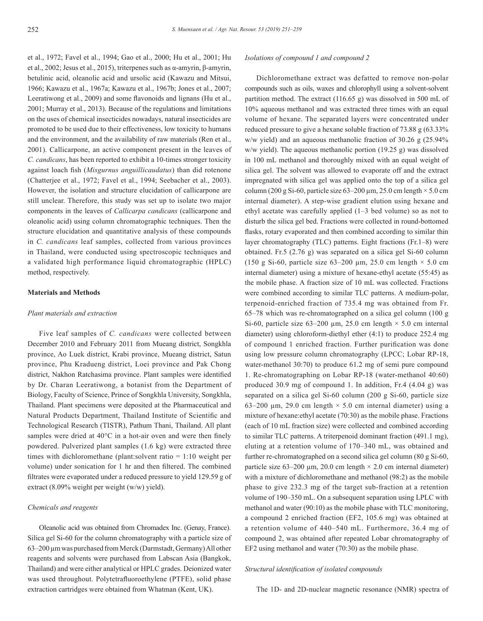et al., 1972; Favel et al., 1994; Gao et al., 2000; Hu et al., 2001; Hu et al., 2002; Jesus et al., 2015), triterpenes such as α-amyrin, β-amyrin, betulinic acid, oleanolic acid and ursolic acid (Kawazu and Mitsui, 1966; Kawazu et al., 1967a; Kawazu et al., 1967b; Jones et al., 2007; Leeratiwong et al., 2009) and some flavonoids and lignans (Hu et al., 2001; Murray et al., 2013). Because of the regulations and limitations on the uses of chemical insecticides nowadays, natural insecticides are promoted to be used due to their effectiveness, low toxicity to humans and the environment, and the availability of raw materials (Ren et al., 2001). Callicarpone, an active component present in the leaves of *C. candicans*, has been reported to exhibit a 10-times stronger toxicity against loach fish (*Misgurnus anguillicaudatus*) than did rotenone (Chatterjee et al., 1972; Favel et al., 1994; Seebacher et al., 2003). However, the isolation and structure elucidation of callicarpone are still unclear. Therefore, this study was set up to isolate two major components in the leaves of *Callicarpa candicans* (callicarpone and oleanolic acid) using column chromatographic techniques. Then the structure elucidation and quantitative analysis of these compounds in *C. candicans* leaf samples, collected from various provinces in Thailand, were conducted using spectroscopic techniques and a validated high performance liquid chromatographic (HPLC) method, respectively.

# **Materials and Methods**

### *Plant materials and extraction*

Five leaf samples of *C. candicans* were collected between December 2010 and February 2011 from Mueang district, Songkhla province, Ao Luek district, Krabi province, Mueang district, Satun province, Phu Kradueng district, Loei province and Pak Chong district, Nakhon Ratchasima province. Plant samples were identified by Dr. Charan Leeratiwong, a botanist from the Department of Biology, Faculty of Science, Prince of Songkhla University, Songkhla, Thailand. Plant specimens were deposited at the Pharmaceutical and Natural Products Department, Thailand Institute of Scientific and Technological Research (TISTR), Pathum Thani, Thailand. All plant samples were dried at 40°C in a hot-air oven and were then finely powdered. Pulverized plant samples (1.6 kg) were extracted three times with dichloromethane (plant:solvent ratio = 1:10 weight per volume) under sonication for 1 hr and then filtered. The combined filtrates were evaporated under a reduced pressure to yield 129.59 g of extract (8.09% weight per weight (w/w) yield).

### *Chemicals and reagents*

Oleanolic acid was obtained from Chromadex Inc. (Genay, France). Silica gel Si-60 for the column chromatography with a particle size of 63–200 µm was purchased from Merck (Darmstadt, Germany) All other reagents and solvents were purchased from Labscan Asia (Bangkok, Thailand) and were either analytical or HPLC grades. Deionized water was used throughout. Polytetrafluoroethylene (PTFE), solid phase extraction cartridges were obtained from Whatman (Kent, UK).

#### *Isolations of compound 1 and compound 2*

Dichloromethane extract was defatted to remove non-polar compounds such as oils, waxes and chlorophyll using a solvent-solvent partition method. The extract (116.65 g) was dissolved in 500 mL of 10% aqueous methanol and was extracted three times with an equal volume of hexane. The separated layers were concentrated under reduced pressure to give a hexane soluble fraction of 73.88 g (63.33% w/w yield) and an aqueous methanolic fraction of 30.26 g (25.94% w/w yield). The aqueous methanolic portion (19.25 g) was dissolved in 100 mL methanol and thoroughly mixed with an equal weight of silica gel. The solvent was allowed to evaporate off and the extract impregnated with silica gel was applied onto the top of a silica gel column (200 g Si-60, particle size  $63-200 \mu m$ , 25.0 cm length  $\times$  5.0 cm internal diameter). A step-wise gradient elution using hexane and ethyl acetate was carefully applied (1–3 bed volume) so as not to disturb the silica gel bed. Fractions were collected in round-bottomed flasks, rotary evaporated and then combined according to similar thin layer chromatography (TLC) patterns. Eight fractions (Fr.1–8) were obtained. Fr.5 (2.76 g) was separated on a silica gel Si-60 column (150 g Si-60, particle size 63–200  $\mu$ m, 25.0 cm length  $\times$  5.0 cm internal diameter) using a mixture of hexane-ethyl acetate (55:45) as the mobile phase. A fraction size of 10 mL was collected. Fractions were combined according to similar TLC patterns. A medium-polar, terpenoid-enriched fraction of 735.4 mg was obtained from Fr. 65–78 which was re-chromatographed on a silica gel column (100 g Si-60, particle size  $63-200 \mu m$ , 25.0 cm length  $\times$  5.0 cm internal diameter) using chloroform-diethyl ether (4:1) to produce 252.4 mg of compound 1 enriched fraction. Further purification was done using low pressure column chromatography (LPCC; Lobar RP-18, water-methanol 30:70) to produce 61.2 mg of semi pure compound 1. Re-chromatographing on Lobar RP-18 (water-methanol 40:60) produced 30.9 mg of compound 1. In addition, Fr.4 (4.04 g) was separated on a silica gel Si-60 column (200 g Si-60, particle size 63–200  $\mu$ m, 29.0 cm length  $\times$  5.0 cm internal diameter) using a mixture of hexane:ethyl acetate (70:30) as the mobile phase. Fractions (each of 10 mL fraction size) were collected and combined according to similar TLC patterns. A triterpenoid dominant fraction (491.1 mg), eluting at a retention volume of 170–340 mL, was obtained and further re-chromatographed on a second silica gel column (80 g Si-60, particle size 63–200  $\mu$ m, 20.0 cm length  $\times$  2.0 cm internal diameter) with a mixture of dichloromethane and methanol (98:2) as the mobile phase to give 232.3 mg of the target sub-fraction at a retention volume of 190–350 mL. On a subsequent separation using LPLC with methanol and water (90:10) as the mobile phase with TLC monitoring, a compound 2 enriched fraction (EF2, 105.6 mg) was obtained at a retention volume of 440–540 mL. Furthermore, 36.4 mg of compound 2, was obtained after repeated Lobar chromatography of EF2 using methanol and water (70:30) as the mobile phase.

# *Structural identification of isolated compounds*

The 1D- and 2D-nuclear magnetic resonance (NMR) spectra of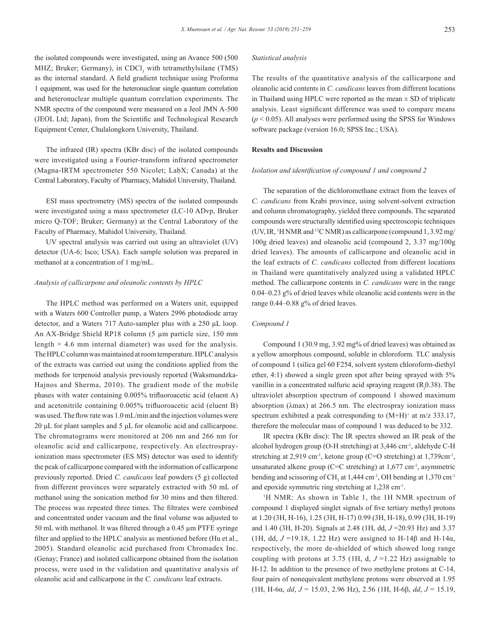the isolated compounds were investigated, using an Avance 500 (500 MHZ; Bruker; Germany), in  $CDCl<sub>3</sub>$  with tetramethylsilane (TMS) as the internal standard. A field gradient technique using Proforma 1 equipment, was used for the heteronuclear single quantum correlation and heteronuclear multiple quantum correlation experiments. The NMR spectra of the compound were measured on a Jeol JMN A-500 (JEOL Ltd; Japan), from the Scientific and Technological Research Equipment Center, Chulalongkorn University, Thailand.

The infrared (IR) spectra (KBr disc) of the isolated compounds were investigated using a Fourier-transform infrared spectrometer (Magna-IRTM spectrometer 550 Nicolet; LabX; Canada) at the Central Laboratory, Faculty of Pharmacy, Mahidol University, Thailand.

ESI mass spectrometry (MS) spectra of the isolated compounds were investigated using a mass spectrometer (LC-10 ADvp, Bruker micro Q-TOF; Bruker; Germany) at the Central Laboratory of the Faculty of Pharmacy, Mahidol University, Thailand.

UV spectral analysis was carried out using an ultraviolet (UV) detector (UA-6; Isco; USA). Each sample solution was prepared in methanol at a concentration of 1 mg/mL.

#### *Analysis of callicarpone and oleanolic contents by HPLC*

The HPLC method was performed on a Waters unit, equipped with a Waters 600 Controller pump, a Waters 2996 photodiode array detector, and a Waters 717 Auto-sampler plus with a 250 μL loop. An AX-Bridge Shield RP18 column (5 µm particle size, 150 mm length  $\times$  4.6 mm internal diameter) was used for the analysis. The HPLC column was maintained at room temperature. HPLC analysis of the extracts was carried out using the conditions applied from the methods for terpenoid analysis previously reported (Waksmundzka-Hajnos and Sherma, 2010). The gradient mode of the mobile phases with water containing 0.005% trifluoroacetic acid (eluent A) and acetonitrile containing 0.005% trifluoroacetic acid (eluent B) was used. The flow rate was 1.0 mL/min and the injection volumes were 20 μL for plant samples and 5 μL for oleanolic acid and callicarpone. The chromatograms were monitored at 206 nm and 266 nm for oleanolic acid and callicarpone, respectively. An electrosprayionization mass spectrometer (ES MS) detector was used to identify the peak of callicarpone compared with the information of callicarpone previously reported. Dried *C. candicans* leaf powders (5 g) collected from different provinces were separately extracted with 50 mL of methanol using the sonication method for 30 mins and then filtered. The process was repeated three times. The filtrates were combined and concentrated under vacuum and the final volume was adjusted to 50 mL with methanol. It was filtered through a 0.45 µm PTFE syringe filter and applied to the HPLC analysis as mentioned before (Hu et al., 2005). Standard oleanolic acid purchased from Chromadex Inc. (Genay; France) and isolated callicarpone obtained from the isolation process, were used in the validation and quantitative analysis of oleanolic acid and callicarpone in the *C. candicans* leaf extracts.

#### *Statistical analysis*

The results of the quantitative analysis of the callicarpone and oleanolic acid contents in *C. candicans* leaves from different locations in Thailand using HPLC were reported as the mean  $\pm$  SD of triplicate analysis. Least significant difference was used to compare means  $(p < 0.05)$ . All analyses were performed using the SPSS for Windows software package (version 16.0; SPSS Inc.; USA).

# **Results and Discussion**

# *Isolation and identification of compound 1 and compound 2*

The separation of the dichloromethane extract from the leaves of *C. candicans* from Krabi province, using solvent-solvent extraction and column chromatography, yielded three compounds. The separated compounds were structurally identified using spectroscopic techniques (UV, IR, <sup>1</sup>H NMR and <sup>13</sup>C NMR) as callicarpone (compound  $1, 3.92$  mg/ 100g dried leaves) and oleanolic acid (compound 2, 3.37 mg/100g dried leaves). The amounts of callicarpone and oleanolic acid in the leaf extracts of *C. candicans* collected from different locations in Thailand were quantitatively analyzed using a validated HPLC method. The callicarpone contents in *C. candicans* were in the range 0.04–0.23 g% of dried leaves while oleanolic acid contents were in the range 0.44–0.88 g% of dried leaves.

#### *Compound 1*

Compound 1 (30.9 mg, 3.92 mg% of dried leaves) was obtained as a yellow amorphous compound, soluble in chloroform. TLC analysis of compound 1 (silica gel 60 F254, solvent system chloroform-diethyl ether, 4:1) showed a single green spot after being sprayed with 5% vanillin in a concentrated sulfuric acid spraying reagent (R*<sup>f</sup>* 0.38). The ultraviolet absorption spectrum of compound 1 showed maximum absorption (λmax) at 266.5 nm. The electrospray ionization mass spectrum exhibited a peak corresponding to  $(M+H)^+$  at m/z 333.17, therefore the molecular mass of compound 1 was deduced to be 332.

IR spectra (KBr disc): The IR spectra showed an IR peak of the alcohol hydrogen group (O-H stretching) at 3,446 cm-1, aldehyde C-H stretching at  $2.919$  cm<sup>-1</sup>, ketone group (C=O stretching) at  $1.739$ cm<sup>-1</sup>, unsaturated alkene group (C=C stretching) at  $1,677$  cm<sup>-1</sup>, asymmetric bending and scissoring of CH<sub>3</sub> at 1,444 cm<sup>-1</sup>, OH bending at 1,370 cm<sup>-1</sup> and epoxide symmetric ring stretching at 1,238 cm-1.

<sup>1</sup>H NMR: As shown in Table 1, the 1H NMR spectrum of compound 1 displayed singlet signals of five tertiary methyl protons at 1.20 (3H, H-16), 1.25 (3H, H-17) 0.99 (3H, H-18), 0.99 (3H, H-19) and 1.40 (3H, H-20). Signals at 2.48 (1H, dd, *J* =20.93 Hz) and 3.37 (1H, dd,  $J = 19.18$ , 1.22 Hz) were assigned to H-14β and H-14α, respectively, the more de-shielded of which showed long range coupling with protons at 3.75 (1H, d,  $J = 1.22$  Hz) assignable to H-12. In addition to the presence of two methylene protons at C-14, four pairs of nonequivalent methylene protons were observed at 1.95 (1H, H-6α, *dd*, *J* = 15.03, 2.96 Hz), 2.56 (1H, H-6β, *dd*, *J* = 15.19,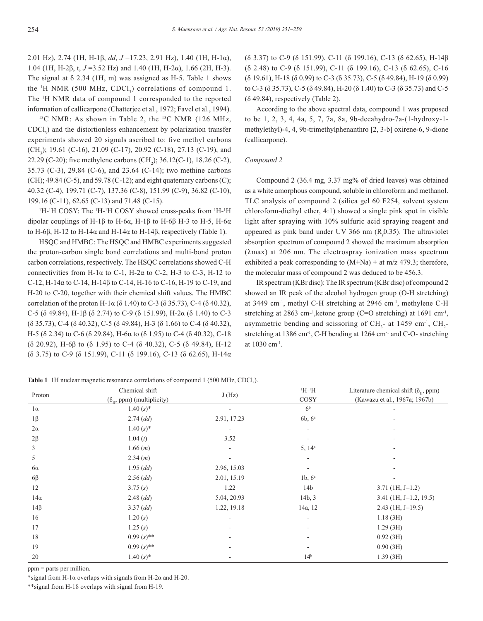2.01 Hz), 2.74 (1H, H-1β, *dd*, *J* =17.23, 2.91 Hz), 1.40 (1H, H-1α), 1.04 (1H, H-2β, t, *J* =3.52 Hz) and 1.40 (1H, H-2α), 1.66 (2H, H-3). The signal at  $\delta$  2.34 (1H, m) was assigned as H-5. Table 1 shows the  $H$  NMR (500 MHz, CDCl<sub>3</sub>) correlations of compound 1. The 1 H NMR data of compound 1 corresponded to the reported information of callicarpone (Chatterjee et al., 1972; Favel et al., 1994).

<sup>13</sup>C NMR: As shown in Table 2, the <sup>13</sup>C NMR (126 MHz,  $CDCl<sub>3</sub>$ ) and the distortionless enhancement by polarization transfer experiments showed 20 signals ascribed to: five methyl carbons  $(CH<sub>3</sub>)$ ; 19.61 (C-16), 21.09 (C-17), 20.92 (C-18), 27.13 (C-19), and 22.29 (C-20); five methylene carbons (CH<sub>2</sub>); 36.12(C-1), 18.26 (C-2), 35.73 (C-3), 29.84 (C-6), and 23.64 (C-14); two methine carbons (CH); 49.84 (C-5), and 59.78 (C-12); and eight quaternary carbons (C); 40.32 (C-4), 199.71 (C-7), 137.36 (C-8), 151.99 (C-9), 36.82 (C-10), 199.16 (C-11), 62.65 (C-13) and 71.48 (C-15).

<sup>1</sup>H-<sup>1</sup>H COSY: The <sup>1</sup>H-<sup>1</sup>H COSY showed cross-peaks from <sup>1</sup>H-<sup>1</sup>H dipolar couplings of H-1β to H-6α, H-1β to H-6β H-3 to H-5, H-6α to H-6β, H-12 to H-14α and H-14α to H-14β, respectively (Table 1).

HSQC and HMBC: The HSQC and HMBC experiments suggested the proton-carbon single bond correlations and multi-bond proton carbon correlations, respectively. The HSQC correlations showed C-H connectivities from H-1 $\alpha$  to C-1, H-2 $\alpha$  to C-2, H-3 to C-3, H-12 to C-12, H-14α to C-14, H-14β to C-14, H-16 to C-16, H-19 to C-19, and H-20 to C-20, together with their chemical shift values. The HMBC correlation of the proton H-1α (δ 1.40) to C-3 (δ 35.73), C-4 (δ 40.32), C-5 (δ 49.84), H-1β (δ 2.74) to C-9 (δ 151.99), H-2α (δ 1.40) to C-3 (δ 35.73), C-4 (δ 40.32), C-5 (δ 49.84), H-3 (δ 1.66) to C-4 (δ 40.32), H-5 (δ 2.34) to C-6 (δ 29.84), H-6α to (δ 1.95) to C-4 (δ 40.32), C-18 (δ 20.92), H-6β to (δ 1.95) to C-4 (δ 40.32), C-5 (δ 49.84), H-12 (δ 3.75) to C-9 (δ 151.99), C-11 (δ 199.16), C-13 (δ 62.65), H-14α (δ 3.37) to C-9 (δ 151.99), C-11 (δ 199.16), C-13 (δ 62.65), H-14β (δ 2.48) to C-9 (δ 151.99), C-11 (δ 199.16), C-13 (δ 62.65), C-16 (δ 19.61), H-18 (δ 0.99) to C-3 (δ 35.73), C-5 (δ 49.84), H-19 (δ 0.99) to C-3 (δ 35.73), C-5 (δ 49.84), H-20 (δ 1.40) to C-3 (δ 35.73) and C-5  $($ δ 49.84), respectively (Table 2).

According to the above spectral data, compound 1 was proposed to be 1, 2, 3, 4, 4a, 5, 7, 7a, 8a, 9b-decahydro-7a-(1-hydroxy-1 methylethyl)-4, 4, 9b-trimethylphenanthro [2, 3-b] oxirene-6, 9-dione (callicarpone).

# *Compound 2*

Compound 2 (36.4 mg, 3.37 mg% of dried leaves) was obtained as a white amorphous compound, soluble in chloroform and methanol. TLC analysis of compound 2 (silica gel 60 F254, solvent system chloroform-diethyl ether, 4:1) showed a single pink spot in visible light after spraying with 10% sulfuric acid spraying reagent and appeared as pink band under UV 366 nm (R*<sup>f</sup>* 0.35). The ultraviolet absorption spectrum of compound 2 showed the maximum absorption (λmax) at 206 nm. The electrospray ionization mass spectrum exhibited a peak corresponding to  $(M+Na)$  + at m/z 479.3; therefore, the molecular mass of compound 2 was deduced to be 456.3.

IR spectrum (KBr disc): The IR spectrum (KBr disc) of compound 2 showed an IR peak of the alcohol hydrogen group (O-H stretching) at 3449 cm-1, methyl C-H stretching at 2946 cm-1, methylene C-H stretching at 2863 cm-<sup>1</sup>, ketone group (C=O stretching) at 1691 cm<sup>-1</sup>, asymmetric bending and scissoring of  $CH_3$ - at 1459 cm<sup>-1</sup>,  $CH_2$ stretching at 1386 cm<sup>-1</sup>, C-H bending at 1264 cm<sup>-1</sup> and C-O- stretching at 1030 cm-1.

|  |  |  |  | <b>Table 1</b> 1H nuclear magnetic resonance correlations of compound 1 (500 MHz, CDCl <sub>3</sub> ). |  |  |  |  |  |  |  |
|--|--|--|--|--------------------------------------------------------------------------------------------------------|--|--|--|--|--|--|--|
|--|--|--|--|--------------------------------------------------------------------------------------------------------|--|--|--|--|--|--|--|

| Proton     | Chemical shift                       | J(Hz)       | $H^{-1}H$          | Literature chemical shift ( $\delta_{\mu}$ , ppm) |
|------------|--------------------------------------|-------------|--------------------|---------------------------------------------------|
|            | $(\delta_{\mu},$ ppm) (multiplicity) |             | COSY               | (Kawazu et al., 1967a; 1967b)                     |
| $1\alpha$  | $1.40(s)*$                           |             | 6 <sup>b</sup>     |                                                   |
| $1\beta$   | $2.74$ (dd)                          | 2.91, 17.23 | 6b, 6 <sup>a</sup> |                                                   |
| $2\alpha$  | $1.40(s)*$                           |             |                    |                                                   |
| $2\beta$   | 1.04(t)                              | 3.52        |                    |                                                   |
| 3          | 1.66(m)                              | ٠.          | $5, 14^a$          | ٠                                                 |
| 5          | 2.34(m)                              |             |                    |                                                   |
| $6\alpha$  | $1.95$ (dd)                          | 2.96, 15.03 |                    |                                                   |
| $6\beta$   | $2.56$ (dd)                          | 2.01, 15.19 | 1b, $6^a$          |                                                   |
| 12         | 3.75(s)                              | 1.22        | 14 <sub>b</sub>    | $3.71$ (1H, J=1.2)                                |
| $14\alpha$ | $2.48$ (dd)                          | 5.04, 20.93 | 14b, 3             | $3.41$ (1H, J=1.2, 19.5)                          |
| $14\beta$  | $3.37$ (dd)                          | 1.22, 19.18 | 14a, 12            | $2.43$ (1H, J=19.5)                               |
| 16         | 1.20(s)                              |             |                    | 1.18(3H)                                          |
| 17         | 1.25(s)                              |             |                    | 1.29(3H)                                          |
| 18         | $0.99(s)$ **                         |             |                    | 0.92(3H)                                          |
| 19         | $0.99(s)$ **                         |             |                    | 0.90(3H)                                          |
| 20         | $1.40(s)*$                           |             | 14 <sup>b</sup>    | 1.39(3H)                                          |

ppm = parts per million.

\*signal from H-1 $\alpha$  overlaps with signals from H-2 $\alpha$  and H-20.

\*\*signal from H-18 overlaps with signal from H-19.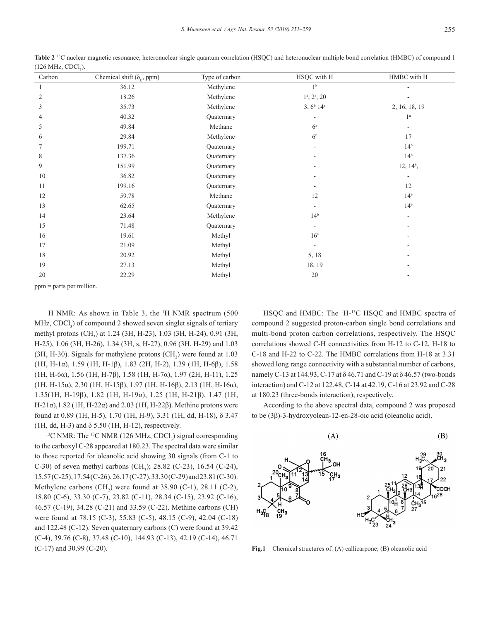| Carbon | $\mathcal{L}$<br>Chemical shift ( $\delta_c$ , ppm) | Type of carbon | HSQC with H                            | HMBC with H     |
|--------|-----------------------------------------------------|----------------|----------------------------------------|-----------------|
|        | 36.12                                               | Methylene      | 1 <sup>b</sup>                         |                 |
| 2      | 18.26                                               | Methylene      | $1^{\text{a}}$ , $2^{\text{a}}$ , $20$ |                 |
| 3      | 35.73                                               | Methylene      | $3, 6^b$ 14 <sup>a</sup>               | 2, 16, 18, 19   |
| 4      | 40.32                                               | Quaternary     |                                        | 1 <sup>a</sup>  |
| 5      | 49.84                                               | Methane        | $6^{\mathrm{a}}$                       |                 |
| 6      | 29.84                                               | Methylene      | 6 <sup>b</sup>                         | 17              |
|        | 199.71                                              | Quaternary     | -                                      | $14^{b}$        |
| 8      | 137.36                                              | Quaternary     | ٠                                      | 14 <sup>b</sup> |
| 9      | 151.99                                              | Quaternary     | $\overline{\phantom{a}}$               | $12, 14^b,$     |
| 10     | 36.82                                               | Quaternary     |                                        |                 |
| 11     | 199.16                                              | Quaternary     |                                        | 12              |
| 12     | 59.78                                               | Methane        | 12                                     | 14 <sup>b</sup> |
| 13     | 62.65                                               | Quaternary     | $\overline{\phantom{a}}$               | 14 <sup>b</sup> |
| 14     | 23.64                                               | Methylene      | 14 <sup>b</sup>                        |                 |
| 15     | 71.48                                               | Quaternary     | -                                      |                 |
| 16     | 19.61                                               | Methyl         | 16 <sup>a</sup>                        |                 |
| 17     | 21.09                                               | Methyl         | $\overline{\phantom{a}}$               |                 |
| 18     | 20.92                                               | Methyl         | 5, 18                                  |                 |
| 19     | 27.13                                               | Methyl         | 18, 19                                 |                 |
| 20     | 22.29                                               | Methyl         | 20                                     |                 |

**Table 2** 13C nuclear magnetic resonance, heteronuclear single quantum correlation (HSQC) and heteronuclear multiple bond correlation (HMBC) of compound 1  $(126 \text{ MHz}, \text{CDCl}_3).$ 

ppm = parts per million.

<sup>1</sup>H NMR: As shown in Table 3, the <sup>1</sup>H NMR spectrum  $(500)$  $MHz$ , CDCl<sub>3</sub>) of compound 2 showed seven singlet signals of tertiary methyl protons  $(CH_3)$  at 1.24 (3H, H-23), 1.03 (3H, H-24), 0.91 (3H, H-25), 1.06 (3H, H-26), 1.34 (3H, s, H-27), 0.96 (3H, H-29) and 1.03  $(3H, H-30)$ . Signals for methylene protons  $(CH<sub>2</sub>)$  were found at 1.03 (1H, H-1α), 1.59 (1H, H-1β), 1.83 (2H, H-2), 1.39 (1H, H-6β), 1.58 (1H, H-6α), 1.56 (1H, H-7β), 1.58 (1H, H-7α), 1.97 (2H, H-11), 1.25 (1H, H-15α), 2.30 (1H, H-15β), 1.97 (1H, H-16β), 2.13 (1H, H-16α), 1.35(1H, H-19β), 1.82 (1H, H-19α), 1.25 (1H, H-21β), 1.47 (1H, H-21α), 1.82 (1H, H-22α) and 2.03 (1H, H-22β). Methine protons were found at 0.89 (1H, H-5), 1.70 (1H, H-9), 3.31 (1H, dd, H-18), δ 3.47 (1H, dd, H-3) and  $\delta$  5.50 (1H, H-12), respectively.

<sup>13</sup>C NMR: The <sup>13</sup>C NMR (126 MHz, CDCl<sub>3</sub>) signal corresponding to the carboxyl C-28 appeared at 180.23. The spectral data were similar to those reported for oleanolic acid showing 30 signals (from C-1 to C-30) of seven methyl carbons  $(CH_3)$ ; 28.82 (C-23), 16.54 (C-24), 15.57 (C-25), 17.54 (C-26), 26.17 (C-27), 33.30 (C-29) and 23.81 (C-30). Methylene carbons  $(CH_2)$  were found at 38.90 (C-1), 28.11 (C-2), 18.80 (C-6), 33.30 (C-7), 23.82 (C-11), 28.34 (C-15), 23.92 (C-16), 46.57 (C-19), 34.28 (C-21) and 33.59 (C-22). Methine carbons (CH) were found at 78.15 (C-3), 55.83 (C-5), 48.15 (C-9), 42.04 (C-18) and 122.48 (C-12). Seven quaternary carbons (C) were found at 39.42 (C-4), 39.76 (C-8), 37.48 (C-10), 144.93 (C-13), 42.19 (C-14), 46.71 (C-17) and 30.99 (C-20).

HSQC and HMBC: The <sup>1</sup>H-<sup>13</sup>C HSQC and HMBC spectra of compound 2 suggested proton-carbon single bond correlations and multi-bond proton carbon correlations, respectively. The HSQC correlations showed C-H connectivities from H-12 to C-12, H-18 to C-18 and H-22 to C-22. The HMBC correlations from H-18 at 3.31 showed long range connectivity with a substantial number of carbons, namely C-13 at 144.93, C-17 at δ 46.71 and C-19 at δ 46.57 (two-bonds interaction) and C-12 at 122.48, C-14 at 42.19, C-16 at 23.92 and C-28 at 180.23 (three-bonds interaction), respectively.

According to the above spectral data, compound 2 was proposed to be (3β)-3-hydroxyolean-12-en-28-oic acid (oleanolic acid).



**Fig.1** Chemical structures of: (A) callicarpone; (B) oleanolic acid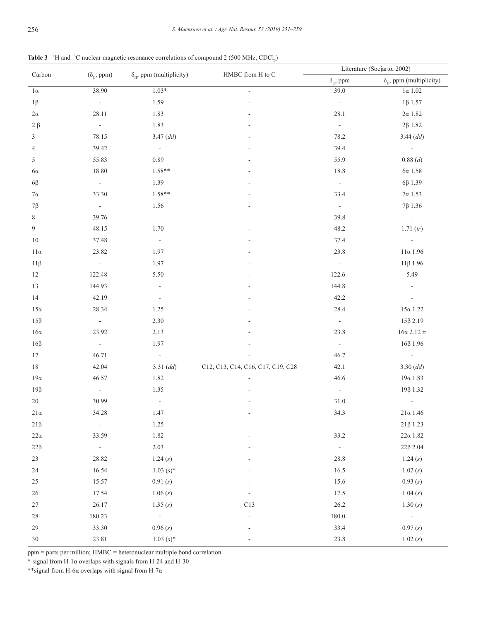**Table 3** <sup>1</sup>H and <sup>13</sup>C nuclear magnetic resonance correlations of compound 2 (500 MHz, CDCl<sub>3</sub>)

| Carbon     |                             | $\delta_{\rm H}$ , ppm (multiplicity) | HMBC from H to C                  | Literature (Soejarto, 2002)             |                                       |  |
|------------|-----------------------------|---------------------------------------|-----------------------------------|-----------------------------------------|---------------------------------------|--|
|            | $(\delta_c, ppm)$           |                                       |                                   | $\delta_{\rm\scriptscriptstyle C},$ ppm | $\delta_{\rm H}$ , ppm (multiplicity) |  |
| $1\alpha$  | 38.90                       | $1.03*$                               | L.                                | 39.0                                    | $1\alpha$ 1.02                        |  |
| $1\beta$   | $\overline{\phantom{a}}$    | 1.59                                  |                                   | $\blacksquare$                          | $1\beta$ 1.57                         |  |
| $2\alpha$  | 28.11                       | 1.83                                  |                                   | 28.1                                    | $2\alpha$ 1.82                        |  |
| $2 \beta$  | $\sim$                      | 1.83                                  |                                   | $\blacksquare$                          | $2\beta$ 1.82                         |  |
| 3          | 78.15                       | $3.47$ (dd)                           |                                   | 78.2                                    | $3.44$ (dd)                           |  |
| 4          | 39.42                       | $\sim$                                |                                   | 39.4                                    | $\sim$                                |  |
| 5          | 55.83                       | 0.89                                  |                                   | 55.9                                    | 0.88(d)                               |  |
| $6\alpha$  | 18.80                       | 1.58**                                |                                   | 18.8                                    | $6\alpha$ 1.58                        |  |
| $6\beta$   | $\omega$                    | 1.39                                  |                                   | $\overline{\phantom{a}}$                | $6\beta$ 1.39                         |  |
| $7\alpha$  | 33.30                       | 1.58**                                |                                   | 33.4                                    | $7\alpha$ 1.53                        |  |
| $7\beta$   | $\sim$                      | 1.56                                  |                                   | $\blacksquare$                          | 7β 1.36                               |  |
| 8          | 39.76                       | $\bar{\phantom{a}}$                   |                                   | 39.8                                    | $\omega$                              |  |
| 9          | 48.15                       | 1.70                                  |                                   | 48.2                                    | 1.71 (tr)                             |  |
| $10\,$     | 37.48                       | $\overline{\phantom{a}}$              |                                   | 37.4                                    |                                       |  |
| $11\alpha$ | 23.82                       | 1.97                                  |                                   | 23.8                                    | $11\alpha$ 1.96                       |  |
| $11\beta$  | $\sim$                      | 1.97                                  |                                   | $\blacksquare$                          | $11\beta$ 1.96                        |  |
| 12         | 122.48                      | 5.50                                  |                                   | 122.6                                   | 5.49                                  |  |
| 13         | 144.93                      | $\blacksquare$                        |                                   | 144.8                                   |                                       |  |
| 14         | 42.19                       | $\overline{\phantom{a}}$              |                                   | 42.2                                    |                                       |  |
| $15\alpha$ | 28.34                       | 1.25                                  |                                   | 28.4                                    | $15\alpha$ $1.22$                     |  |
| $15\beta$  | $\sim$                      | $2.30\,$                              |                                   | $\overline{\phantom{a}}$                | $15\beta$ 2.19                        |  |
| $16\alpha$ | 23.92                       | 2.13                                  |                                   | 23.8                                    | $16\alpha$ 2.12 tr                    |  |
| $16\beta$  | $\omega$                    | 1.97                                  |                                   | $\omega$                                | $16\beta$ 1.96                        |  |
| $17\,$     | 46.71                       | $\mathcal{L}_{\mathcal{A}}$           |                                   | 46.7                                    | $\mathbb{Z}^{\mathbb{Z}}$             |  |
| $18\,$     | 42.04                       | 3.31 (dd)                             | C12, C13, C14, C16, C17, C19, C28 | 42.1                                    | 3.30 (dd)                             |  |
| $19\alpha$ | 46.57                       | 1.82                                  |                                   | 46.6                                    | $19\alpha$ 1.83                       |  |
| $19\beta$  | $\mathcal{L}_{\mathcal{A}}$ | 1.35                                  |                                   | $\overline{\phantom{a}}$                | 19β 1.32                              |  |
| $20\,$     | 30.99                       | $\sim$                                |                                   | 31.0                                    | $\Box$                                |  |
| $21\alpha$ | 34.28                       | 1.47                                  |                                   | 34.3                                    | $21\alpha$ 1.46                       |  |
| $21\beta$  | $\overline{\phantom{a}}$    | 1.25                                  |                                   | $\overline{\phantom{a}}$                | $21\beta$ 1.23                        |  |
| $22\alpha$ | 33.59                       | 1.82                                  |                                   | 33.2                                    | $22\alpha$ 1.82                       |  |
| $22\beta$  | $\sim$                      | 2.03                                  |                                   | $\blacksquare$                          | 22β 2.04                              |  |
| 23         | 28.82                       | 1.24(s)                               |                                   | $28.8\,$                                | 1.24(s)                               |  |
| 24         | 16.54                       | $1.03(s)*$                            |                                   | 16.5                                    | 1.02(s)                               |  |
| 25         | 15.57                       | 0.91(s)                               |                                   | 15.6                                    | 0.93(s)                               |  |
| 26         | 17.54                       | 1.06(s)                               |                                   | 17.5                                    | 1.04(s)                               |  |
| 27         | 26.17                       | 1.35(s)                               | C13                               | 26.2                                    | 1.30(s)                               |  |
| $28\,$     | 180.23                      | $\overline{\phantom{a}}$              |                                   | $180.0\,$                               | $\sigma_{\rm{eff}}$                   |  |
| 29         | 33.30                       | 0.96(s)                               |                                   | 33.4                                    | 0.97(s)                               |  |
| 30         | 23.81                       | $1.03 (s)*$                           | $\overline{a}$                    | 23.8                                    | 1.02(s)                               |  |

ppm = parts per million; HMBC = heteronuclear multiple bond correlation.

 $*$  signal from H-1 $\alpha$  overlaps with signals from H-24 and H-30

\*\*signal from H-6α overlaps with signal from H-7α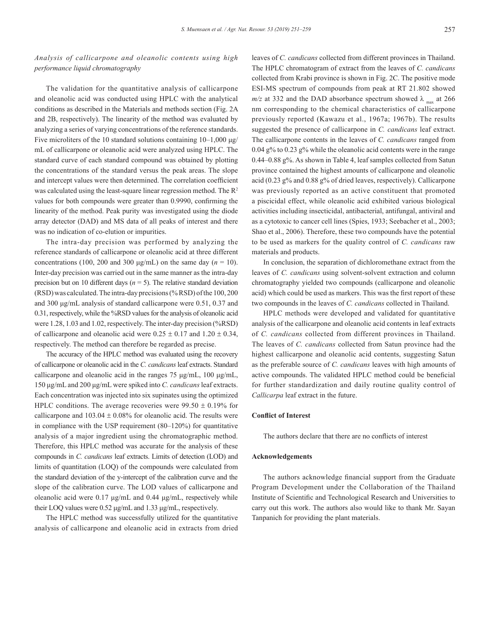*Analysis of callicarpone and oleanolic contents using high performance liquid chromatography*

The validation for the quantitative analysis of callicarpone and oleanolic acid was conducted using HPLC with the analytical conditions as described in the Materials and methods section (Fig. 2A and 2B, respectively). The linearity of the method was evaluated by analyzing a series of varying concentrations of the reference standards. Five microliters of the 10 standard solutions containing  $10-1,000 \mu g$ / mL of callicarpone or oleanolic acid were analyzed using HPLC. The standard curve of each standard compound was obtained by plotting the concentrations of the standard versus the peak areas. The slope and intercept values were then determined. The correlation coefficient was calculated using the least-square linear regression method. The  $\mathbb{R}^2$ values for both compounds were greater than 0.9990, confirming the linearity of the method. Peak purity was investigated using the diode array detector (DAD) and MS data of all peaks of interest and there was no indication of co-elution or impurities.

The intra-day precision was performed by analyzing the reference standards of callicarpone or oleanolic acid at three different concentrations (100, 200 and 300  $\mu$ g/mL) on the same day ( $n = 10$ ). Inter-day precision was carried out in the same manner as the intra-day precision but on 10 different days ( $n = 5$ ). The relative standard deviation (RSD) was calculated. The intra-day precisions (% RSD) of the 100, 200 and 300 μg/mL analysis of standard callicarpone were 0.51, 0.37 and 0.31, respectively, while the %RSD values for the analysis of oleanolic acid were 1.28, 1.03 and 1.02, respectively. The inter-day precision (%RSD) of callicarpone and oleanolic acid were  $0.25 \pm 0.17$  and  $1.20 \pm 0.34$ , respectively. The method can therefore be regarded as precise.

The accuracy of the HPLC method was evaluated using the recovery of callicarpone or oleanolic acid in the *C. candicans* leaf extracts. Standard callicarpone and oleanolic acid in the ranges 75 μg/mL, 100 μg/mL, 150 μg/mL and 200 μg/mL were spiked into *C. candicans* leaf extracts. Each concentration was injected into six supinates using the optimized HPLC conditions. The average recoveries were  $99.50 \pm 0.19\%$  for callicarpone and  $103.04 \pm 0.08\%$  for oleanolic acid. The results were in compliance with the USP requirement (80–120%) for quantitative analysis of a major ingredient using the chromatographic method. Therefore, this HPLC method was accurate for the analysis of these compounds in *C. candicans* leaf extracts. Limits of detection (LOD) and limits of quantitation (LOQ) of the compounds were calculated from the standard deviation of the y-intercept of the calibration curve and the slope of the calibration curve. The LOD values of callicarpone and oleanolic acid were 0.17 μg/mL and 0.44 μg/mL, respectively while their LOQ values were 0.52 μg/mL and 1.33 μg/mL, respectively.

The HPLC method was successfully utilized for the quantitative analysis of callicarpone and oleanolic acid in extracts from dried leaves of *C. candicans* collected from different provinces in Thailand. The HPLC chromatogram of extract from the leaves of *C. candicans* collected from Krabi province is shown in Fig. 2C. The positive mode ESI-MS spectrum of compounds from peak at RT 21.802 showed  $m/z$  at 332 and the DAD absorbance spectrum showed  $\lambda_{\text{max}}$  at 266 nm corresponding to the chemical characteristics of callicarpone previously reported (Kawazu et al., 1967a; 1967b). The results suggested the presence of callicarpone in *C. candicans* leaf extract. The callicarpone contents in the leaves of *C. candicans* ranged from 0.04 g% to 0.23 g% while the oleanolic acid contents were in the range 0.44–0.88 g%. As shown in Table 4, leaf samples collected from Satun province contained the highest amounts of callicarpone and oleanolic acid (0.23 g% and 0.88 g% of dried leaves, respectively). Callicarpone was previously reported as an active constituent that promoted a piscicidal effect, while oleanolic acid exhibited various biological activities including insecticidal, antibacterial, antifungal, antiviral and as a cytotoxic to cancer cell lines (Spies, 1933; Seebacher et al., 2003; Shao et al., 2006). Therefore, these two compounds have the potential to be used as markers for the quality control of *C. candicans* raw materials and products.

In conclusion, the separation of dichloromethane extract from the leaves of *C. candicans* using solvent-solvent extraction and column chromatography yielded two compounds (callicarpone and oleanolic acid) which could be used as markers. This was the first report of these two compounds in the leaves of *C. candicans* collected in Thailand.

HPLC methods were developed and validated for quantitative analysis of the callicarpone and oleanolic acid contents in leaf extracts of *C. candicans* collected from different provinces in Thailand. The leaves of *C. candicans* collected from Satun province had the highest callicarpone and oleanolic acid contents, suggesting Satun as the preferable source of *C. candicans* leaves with high amounts of active compounds. The validated HPLC method could be beneficial for further standardization and daily routine quality control of *Callicarpa* leaf extract in the future.

### **Conflict of Interest**

The authors declare that there are no conflicts of interest

#### **Acknowledgements**

The authors acknowledge financial support from the Graduate Program Development under the Collaboration of the Thailand Institute of Scientific and Technological Research and Universities to carry out this work. The authors also would like to thank Mr. Sayan Tanpanich for providing the plant materials.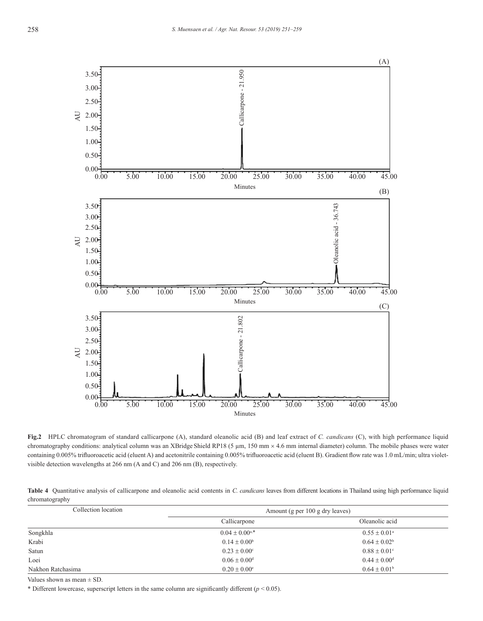

**Fig.2** HPLC chromatogram of standard callicarpone (A), standard oleanolic acid (B) and leaf extract of *C. candicans* (C), with high performance liquid chromatography conditions: analytical column was an XBridge Shield RP18 (5 µm, 150 mm × 4.6 mm internal diameter) column. The mobile phases were water containing 0.005% trifluoroacetic acid (eluent A) and acetonitrile containing 0.005% trifluoroacetic acid (eluent B). Gradient flow rate was 1.0 mL/min; ultra violetvisible detection wavelengths at 266 nm (A and C) and 206 nm (B), respectively.

**Table 4** Quantitative analysis of callicarpone and oleanolic acid contents in *C. candicans* leaves from different locations in Thailand using high performance liquid chromatography

| Collection location | Amount (g per 100 g dry leaves) |                              |  |  |
|---------------------|---------------------------------|------------------------------|--|--|
|                     | Callicarpone                    | Oleanolic acid               |  |  |
| Songkhla            | $0.04 + 0.00^{a,*}$             | $0.55 \pm 0.01^{\circ}$      |  |  |
| Krabi               | $0.14 \pm 0.00^b$               | $0.64 \pm 0.02^b$            |  |  |
| Satun               | $0.23 + 0.00^{\circ}$           | $0.88 \pm 0.01$ <sup>c</sup> |  |  |
| Loei                | $0.06 \pm 0.00$ <sup>d</sup>    | $0.44 \pm 0.00$ <sup>d</sup> |  |  |
| Nakhon Ratchasima   | $0.20 \pm 0.00^{\circ}$         | $0.64 \pm 0.01^{\rm b}$      |  |  |

Values shown as mean  $\pm$  SD.

\* Different lowercase, superscript letters in the same column are significantly different (*p* < 0.05).